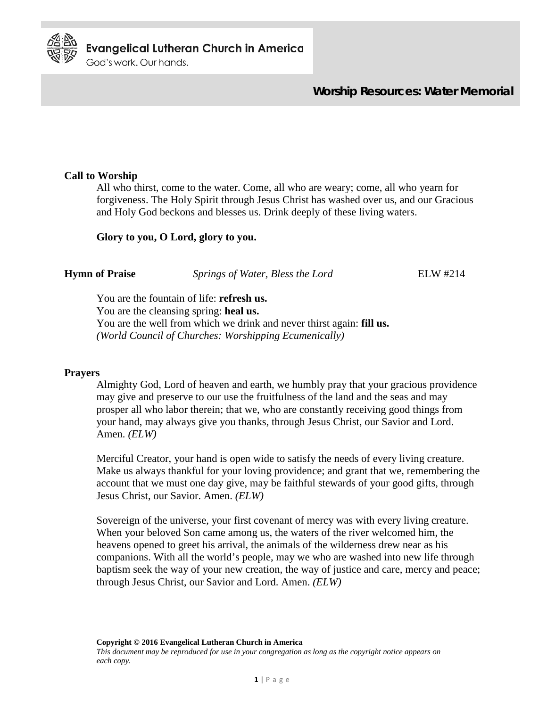

# **Worship Resources: Water Memorial**

## **Call to Worship**

All who thirst, come to the water. Come, all who are weary; come, all who yearn for forgiveness. The Holy Spirit through Jesus Christ has washed over us, and our Gracious and Holy God beckons and blesses us. Drink deeply of these living waters.

#### **Glory to you, O Lord, glory to you.**

| <b>Hymn of Praise</b> | Springs of Water, Bless the Lord | ELW #214 |
|-----------------------|----------------------------------|----------|
|                       |                                  |          |

You are the fountain of life: **refresh us.** You are the cleansing spring: **heal us.** You are the well from which we drink and never thirst again: **fill us.** *(World Council of Churches: Worshipping Ecumenically)* 

#### **Prayers**

Almighty God, Lord of heaven and earth, we humbly pray that your gracious providence may give and preserve to our use the fruitfulness of the land and the seas and may prosper all who labor therein; that we, who are constantly receiving good things from your hand, may always give you thanks, through Jesus Christ, our Savior and Lord. Amen. *(ELW)*

Merciful Creator, your hand is open wide to satisfy the needs of every living creature. Make us always thankful for your loving providence; and grant that we, remembering the account that we must one day give, may be faithful stewards of your good gifts, through Jesus Christ, our Savior. Amen. *(ELW)*

Sovereign of the universe, your first covenant of mercy was with every living creature. When your beloved Son came among us, the waters of the river welcomed him, the heavens opened to greet his arrival, the animals of the wilderness drew near as his companions. With all the world's people, may we who are washed into new life through baptism seek the way of your new creation, the way of justice and care, mercy and peace; through Jesus Christ, our Savior and Lord. Amen. *(ELW)*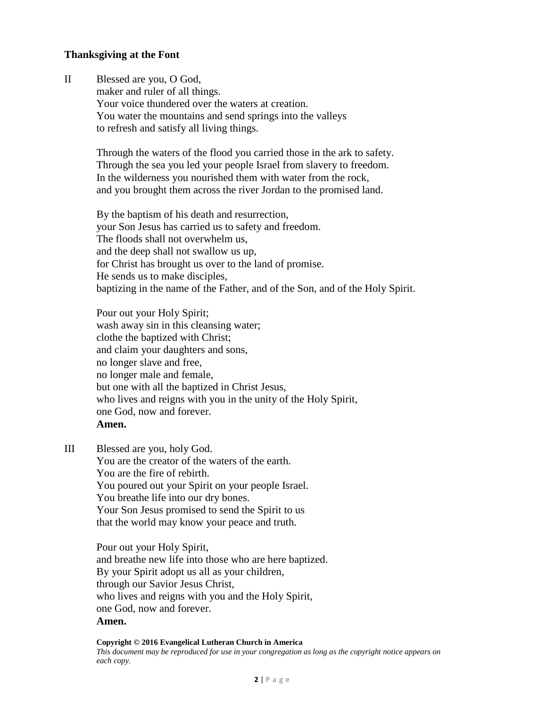### **Thanksgiving at the Font**

II Blessed are you, O God,

maker and ruler of all things. Your voice thundered over the waters at creation. You water the mountains and send springs into the valleys to refresh and satisfy all living things.

Through the waters of the flood you carried those in the ark to safety. Through the sea you led your people Israel from slavery to freedom. In the wilderness you nourished them with water from the rock, and you brought them across the river Jordan to the promised land.

By the baptism of his death and resurrection, your Son Jesus has carried us to safety and freedom. The floods shall not overwhelm us, and the deep shall not swallow us up, for Christ has brought us over to the land of promise. He sends us to make disciples, baptizing in the name of the Father, and of the Son, and of the Holy Spirit.

Pour out your Holy Spirit; wash away sin in this cleansing water; clothe the baptized with Christ; and claim your daughters and sons, no longer slave and free, no longer male and female, but one with all the baptized in Christ Jesus, who lives and reigns with you in the unity of the Holy Spirit, one God, now and forever. **Amen.**

III Blessed are you, holy God.

You are the creator of the waters of the earth. You are the fire of rebirth. You poured out your Spirit on your people Israel. You breathe life into our dry bones. Your Son Jesus promised to send the Spirit to us that the world may know your peace and truth.

Pour out your Holy Spirit, and breathe new life into those who are here baptized. By your Spirit adopt us all as your children, through our Savior Jesus Christ, who lives and reigns with you and the Holy Spirit, one God, now and forever. **Amen.**

#### **Copyright © 2016 Evangelical Lutheran Church in America** *This document may be reproduced for use in your congregation as long as the copyright notice appears on each copy.*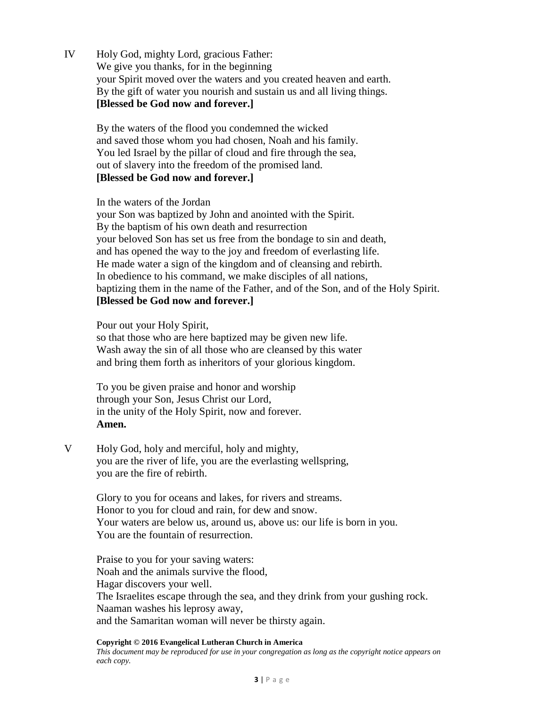IV Holy God, mighty Lord, gracious Father: We give you thanks, for in the beginning your Spirit moved over the waters and you created heaven and earth. By the gift of water you nourish and sustain us and all living things. **[Blessed be God now and forever.]**

By the waters of the flood you condemned the wicked and saved those whom you had chosen, Noah and his family. You led Israel by the pillar of cloud and fire through the sea, out of slavery into the freedom of the promised land. **[Blessed be God now and forever.]**

In the waters of the Jordan

your Son was baptized by John and anointed with the Spirit. By the baptism of his own death and resurrection your beloved Son has set us free from the bondage to sin and death, and has opened the way to the joy and freedom of everlasting life. He made water a sign of the kingdom and of cleansing and rebirth. In obedience to his command, we make disciples of all nations, baptizing them in the name of the Father, and of the Son, and of the Holy Spirit. **[Blessed be God now and forever.]**

Pour out your Holy Spirit,

so that those who are here baptized may be given new life. Wash away the sin of all those who are cleansed by this water and bring them forth as inheritors of your glorious kingdom.

To you be given praise and honor and worship through your Son, Jesus Christ our Lord, in the unity of the Holy Spirit, now and forever. **Amen.**

V Holy God, holy and merciful, holy and mighty, you are the river of life, you are the everlasting wellspring, you are the fire of rebirth.

> Glory to you for oceans and lakes, for rivers and streams. Honor to you for cloud and rain, for dew and snow. Your waters are below us, around us, above us: our life is born in you. You are the fountain of resurrection.

Praise to you for your saving waters: Noah and the animals survive the flood, Hagar discovers your well. The Israelites escape through the sea, and they drink from your gushing rock. Naaman washes his leprosy away, and the Samaritan woman will never be thirsty again.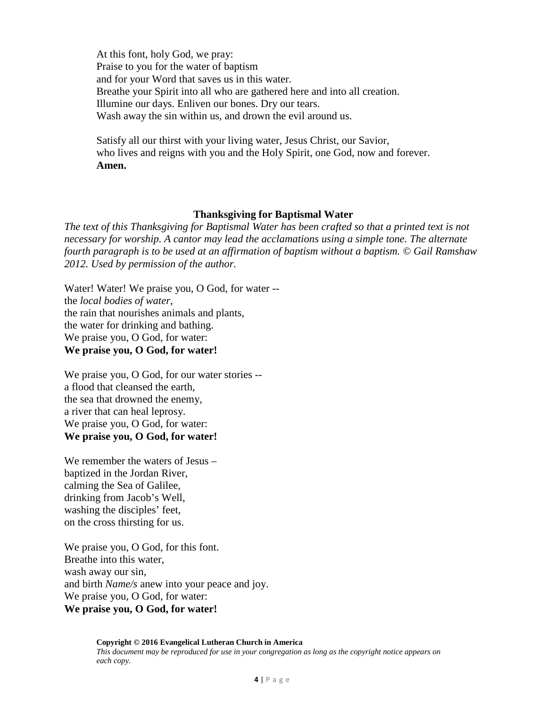At this font, holy God, we pray: Praise to you for the water of baptism and for your Word that saves us in this water. Breathe your Spirit into all who are gathered here and into all creation. Illumine our days. Enliven our bones. Dry our tears. Wash away the sin within us, and drown the evil around us.

Satisfy all our thirst with your living water, Jesus Christ, our Savior, who lives and reigns with you and the Holy Spirit, one God, now and forever. **Amen.**

#### **Thanksgiving for Baptismal Water**

*The text of this Thanksgiving for Baptismal Water has been crafted so that a printed text is not necessary for worship. A cantor may lead the acclamations using a simple tone. The alternate fourth paragraph is to be used at an affirmation of baptism without a baptism. © Gail Ramshaw 2012. Used by permission of the author.*

Water! Water! We praise you, O God, for water -the *local bodies of water*, the rain that nourishes animals and plants, the water for drinking and bathing. We praise you, O God, for water: **We praise you, O God, for water!**

We praise you, O God, for our water stories - a flood that cleansed the earth, the sea that drowned the enemy, a river that can heal leprosy. We praise you, O God, for water: **We praise you, O God, for water!**

We remember the waters of Jesus – baptized in the Jordan River, calming the Sea of Galilee, drinking from Jacob's Well, washing the disciples' feet, on the cross thirsting for us.

We praise you, O God, for this font. Breathe into this water, wash away our sin, and birth *Name/s* anew into your peace and joy. We praise you, O God, for water: **We praise you, O God, for water!**